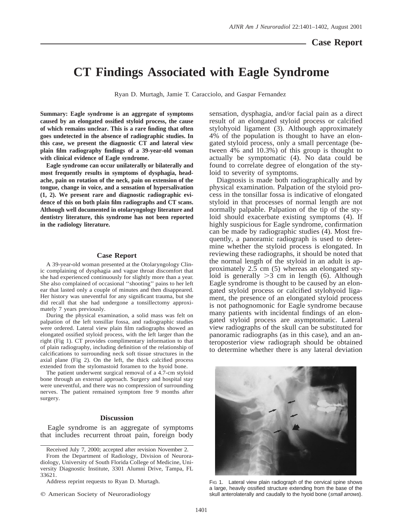## **CT Findings Associated with Eagle Syndrome**

Ryan D. Murtagh, Jamie T. Caracciolo, and Gaspar Fernandez

**Summary: Eagle syndrome is an aggregate of symptoms caused by an elongated ossified styloid process, the cause of which remains unclear. This is a rare finding that often goes undetected in the absence of radiographic studies. In this case, we present the diagnostic CT and lateral view plain film radiography findings of a 39-year-old woman with clinical evidence of Eagle syndrome.**

**Eagle syndrome can occur unilaterally or bilaterally and most frequently results in symptoms of dysphagia, headache, pain on rotation of the neck, pain on extension of the tongue, change in voice, and a sensation of hypersalivation (1, 2). We present rare and diagnostic radiographic evidence of this on both plain film radiographs and CT scans. Although well documented in otolaryngology literature and dentistry literature, this syndrome has not been reported in the radiology literature.**

## **Case Report**

A 39-year-old woman presented at the Otolaryngology Clinic complaining of dysphagia and vague throat discomfort that she had experienced continuously for slightly more than a year. She also complained of occasional ''shooting'' pains to her left ear that lasted only a couple of minutes and then disappeared. Her history was uneventful for any significant trauma, but she did recall that she had undergone a tonsillectomy approximately 7 years previously.

During the physical examination, a solid mass was felt on palpation of the left tonsillar fossa, and radiographic studies were ordered. Lateral view plain film radiographs showed an elongated ossified styloid process, with the left larger than the right (Fig 1). CT provides complimentary information to that of plain radiography, including definition of the relationship of calcifications to surrounding neck soft tissue structures in the axial plane (Fig 2). On the left, the thick calcified process extended from the stylomastoid foramen to the hyoid bone.

The patient underwent surgical removal of a 4.7-cm styloid bone through an external approach. Surgery and hospital stay were uneventful, and there was no compression of surrounding nerves. The patient remained symptom free 9 months after surgery.

## **Discussion**

Eagle syndrome is an aggregate of symptoms that includes recurrent throat pain, foreign body

Address reprint requests to Ryan D. Murtagh.

sensation, dysphagia, and/or facial pain as a direct result of an elongated styloid process or calcified stylohyoid ligament (3). Although approximately 4% of the population is thought to have an elongated styloid process, only a small percentage (between 4% and 10.3%) of this group is thought to actually be symptomatic (4). No data could be found to correlate degree of elongation of the styloid to severity of symptoms.

Diagnosis is made both radiographically and by physical examination. Palpation of the styloid process in the tonsillar fossa is indicative of elongated styloid in that processes of normal length are not normally palpable. Palpation of the tip of the styloid should exacerbate existing symptoms (4). If highly suspicious for Eagle syndrome, confirmation can be made by radiographic studies (4). Most frequently, a panoramic radiograph is used to determine whether the styloid process is elongated. In reviewing these radiographs, it should be noted that the normal length of the styloid in an adult is approximately 2.5 cm (5) whereas an elongated styloid is generally  $>3$  cm in length (6). Although Eagle syndrome is thought to be caused by an elongated styloid process or calcified stylohyoid ligament, the presence of an elongated styloid process is not pathognomonic for Eagle syndrome because many patients with incidental findings of an elongated styloid process are asymptomatic. Lateral view radiographs of the skull can be substituted for panoramic radiographs (as in this case), and an anteroposterior view radiograph should be obtained to determine whether there is any lateral deviation



FIG 1. Lateral view plain radiograph of the cervical spine shows a large, heavily ossified structure extending from the base of the skull anterolaterally and caudally to the hyoid bone (small arrows).

Received July 7, 2000; accepted after revision November 2.

From the Department of Radiology, Division of Neuroradiology, University of South Florida College of Medicine, University Diagnostic Institute, 3301 Alumni Drive, Tampa, FL 33621.

 $©$  American Society of Neuroradiology